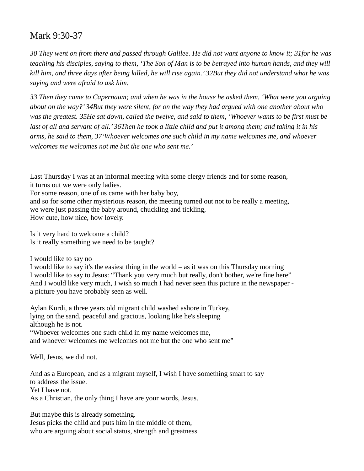## Mark 9:30-37

*30 They went on from there and passed through Galilee. He did not want anyone to know it; 31for he was teaching his disciples, saying to them, 'The Son of Man is to be betrayed into human hands, and they will kill him, and three days after being killed, he will rise again.' 32But they did not understand what he was saying and were afraid to ask him.* 

*33 Then they came to Capernaum; and when he was in the house he asked them, 'What were you arguing about on the way?' 34But they were silent, for on the way they had argued with one another about who was the greatest. 35He sat down, called the twelve, and said to them, 'Whoever wants to be first must be last of all and servant of all.' 36Then he took a little child and put it among them; and taking it in his arms, he said to them, 37'Whoever welcomes one such child in my name welcomes me, and whoever welcomes me welcomes not me but the one who sent me.'* 

Last Thursday I was at an informal meeting with some clergy friends and for some reason, it turns out we were only ladies.

For some reason, one of us came with her baby boy,

and so for some other mysterious reason, the meeting turned out not to be really a meeting, we were just passing the baby around, chuckling and tickling, How cute, how nice, how lovely.

Is it very hard to welcome a child? Is it really something we need to be taught?

I would like to say no

I would like to say it's the easiest thing in the world – as it was on this Thursday morning I would like to say to Jesus: "Thank you very much but really, don't bother, we're fine here" And I would like very much, I wish so much I had never seen this picture in the newspaper a picture you have probably seen as well.

Aylan Kurdi, a three years old migrant child washed ashore in Turkey, lying on the sand, peaceful and gracious, looking like he's sleeping although he is not.

"Whoever welcomes one such child in my name welcomes me, and whoever welcomes me welcomes not me but the one who sent me"

Well, Jesus, we did not.

And as a European, and as a migrant myself, I wish I have something smart to say to address the issue. Yet I have not. As a Christian, the only thing I have are your words, Jesus.

But maybe this is already something.

Jesus picks the child and puts him in the middle of them, who are arguing about social status, strength and greatness.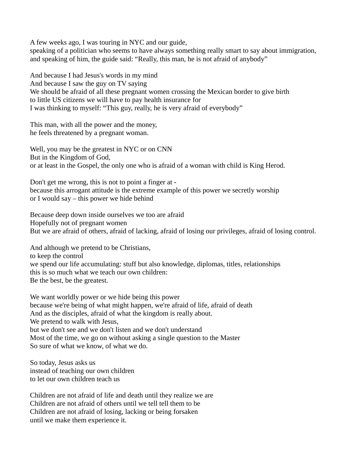A few weeks ago, I was touring in NYC and our guide,

speaking of a politician who seems to have always something really smart to say about immigration, and speaking of him, the guide said: "Really, this man, he is not afraid of anybody"

And because I had Jesus's words in my mind And because I saw the guy on TV saying We should be afraid of all these pregnant women crossing the Mexican border to give birth to little US citizens we will have to pay health insurance for I was thinking to myself: "This guy, really, he is very afraid of everybody"

This man, with all the power and the money, he feels threatened by a pregnant woman.

Well, you may be the greatest in NYC or on CNN But in the Kingdom of God, or at least in the Gospel, the only one who is afraid of a woman with child is King Herod.

Don't get me wrong, this is not to point a finger at because this arrogant attitude is the extreme example of this power we secretly worship or I would say – this power we hide behind

Because deep down inside ourselves we too are afraid Hopefully not of pregnant women But we are afraid of others, afraid of lacking, afraid of losing our privileges, afraid of losing control.

And although we pretend to be Christians, to keep the control we spend our life accumulating: stuff but also knowledge, diplomas, titles, relationships this is so much what we teach our own children: Be the best, be the greatest.

We want worldly power or we hide being this power because we're being of what might happen, we're afraid of life, afraid of death And as the disciples, afraid of what the kingdom is really about. We pretend to walk with Jesus, but we don't see and we don't listen and we don't understand Most of the time, we go on without asking a single question to the Master So sure of what we know, of what we do.

So today, Jesus asks us instead of teaching our own children to let our own children teach us

Children are not afraid of life and death until they realize we are Children are not afraid of others until we tell tell them to be Children are not afraid of losing, lacking or being forsaken until we make them experience it.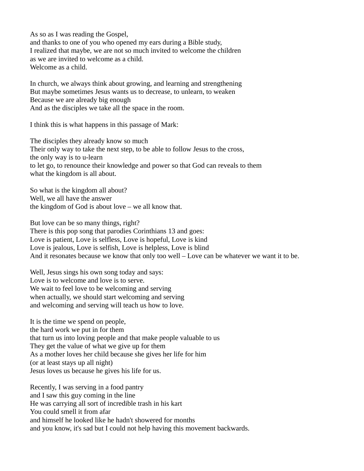As so as I was reading the Gospel,

and thanks to one of you who opened my ears during a Bible study, I realized that maybe, we are not so much invited to welcome the children as we are invited to welcome as a child. Welcome as a child.

In church, we always think about growing, and learning and strengthening But maybe sometimes Jesus wants us to decrease, to unlearn, to weaken Because we are already big enough And as the disciples we take all the space in the room.

I think this is what happens in this passage of Mark:

The disciples they already know so much Their only way to take the next step, to be able to follow Jesus to the cross, the only way is to u-learn to let go, to renounce their knowledge and power so that God can reveals to them what the kingdom is all about.

So what is the kingdom all about? Well, we all have the answer the kingdom of God is about love – we all know that.

But love can be so many things, right?

There is this pop song that parodies Corinthians 13 and goes: Love is patient, Love is selfless, Love is hopeful, Love is kind Love is jealous, Love is selfish, Love is helpless, Love is blind And it resonates because we know that only too well – Love can be whatever we want it to be.

Well, Jesus sings his own song today and says: Love is to welcome and love is to serve. We wait to feel love to be welcoming and serving when actually, we should start welcoming and serving and welcoming and serving will teach us how to love.

It is the time we spend on people, the hard work we put in for them that turn us into loving people and that make people valuable to us They get the value of what we give up for them As a mother loves her child because she gives her life for him (or at least stays up all night) Jesus loves us because he gives his life for us.

Recently, I was serving in a food pantry and I saw this guy coming in the line He was carrying all sort of incredible trash in his kart You could smell it from afar and himself he looked like he hadn't showered for months and you know, it's sad but I could not help having this movement backwards.